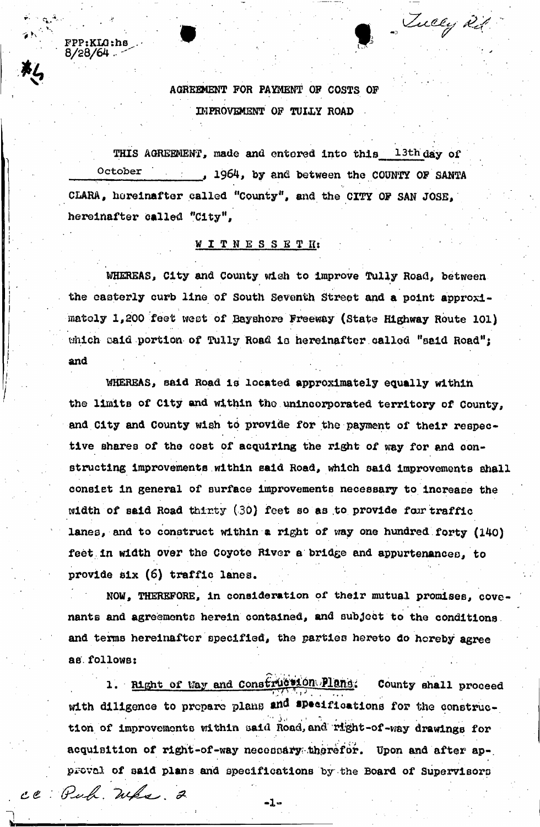AGREEMENT FOR PAYMENT OF COSTS OF IMPROVEMENT OF TULLY ROAD

• v  $\delta N_{\rm eff}$ 

 $FPP:KLG:h\mathbf{s}$  $8/28/64$  .  $\leq$ 

ce Puf Wha 2

*%* 

Tucey 21

THIS AGREEMENT, made and entered into this <sup>13th</sup> day of October 1964, by and between the COUNTY OF SANTA CLARA, hereinafter called "County", and the CITY OF SAN JOSE, hereinafter called "City",

## WITNESSS T *lit*

WHEREAS, City and County wish to improve Tully Road, between the easterly curb line of South Seventh Street and a point approximately 1,200 feet west of Bayshore Freeway (state Highway Route 101) which caid portion of Tully Road is hereinafter called "said Road"; and

WHEREAS, said Road is located approximately equally within the limits of City and within tho unincorporated territory of County, and City and County wish to provide for the payment of their respective shares of the cost of acquiring the right of way for and constructing improvements within said Road, which said improvements shall consist in general of surface improvements necessary to increase the width of said Road thirty (30) feet so as to provide foar traffic lanes, and to construct within a right of way one hundred forty (140) feet in width over the Coyote River a bridge and appurtenances, to provide six (6) traffic lanes.

NOW, THEREFORE, in consideration of their mutual promises, covenants and agreements herein contained, and subject to the conditions and terms hereinafter specified, the parties hereto do hereby agree as follows:

1. Right of Way and Construction Plans. County shall proceed with diligence to propare plans and specifications for the construc- $\mathcal{L}^{\text{tr}}(\Delta \mathcal{H}^{\text{tr}},\mathcal{H})=\mathcal{L}_{\text{int}}(\mathcal{L}_{\text{int}},\mathcal{L}_{\text{int}})$ tion of improvements within said Road, and right-of-way drawings for acquisition of right-of-way necessary therefor. Upon and after approval of said plans and specifications by the Board of Supervisors

-1-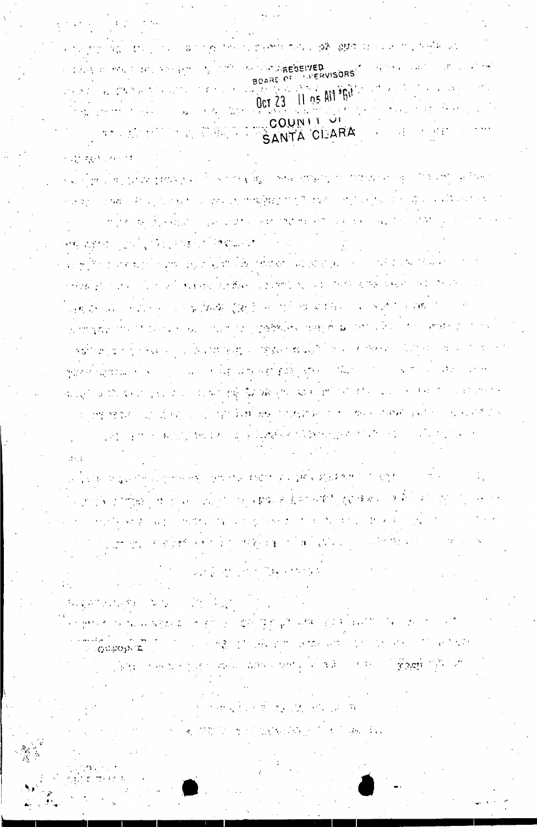a light a thrack in the strain that the advance of a state of the state of the state of the state of the ા ગુજરા જીવાના માટે પ્રોમણ માં માં તેવારો કે તેને જોના ઉપરાંત શાકભાજી જેવા માટે જોવાનું પાકની <sup>છે.</sup> આ પાકની જે we have the properties of the property of the section of the properties of the properties of the second  $\tau_{\rm d}$ જો કે જ જોવાની જ તે પણ પહોંચું જ જોયું કે ક્રાંત્રણ કરી હતા હજા જો પુણ જ લોકો છે. જો તે તે પણ જો જો  $\label{eq:2} \frac{1}{\sqrt{2}}\int_{\mathbb{R}^3}\frac{1}{\sqrt{2}}\left(\frac{1}{\sqrt{2}}\right)^2\frac{1}{\sqrt{2}}\left(\frac{1}{\sqrt{2}}\right)^2\frac{1}{\sqrt{2}}\left(\frac{1}{\sqrt{2}}\right)^2\frac{1}{\sqrt{2}}\left(\frac{1}{\sqrt{2}}\right)^2.$ Montgomery in a North Cattle and 经合同 网络奥兰森  $\mathcal{F}(\mathcal{F},\mathcal{F})$  , and  $\mathcal{F}(\mathcal{F},\mathcal{F})$  $\mathcal{A}$  ,  $\mathcal{B}^{\text{L}}_{\text{L}}$  and  $\mathcal{B}^{\text{L}}_{\text{L}}$  . The  $\mathcal{B}^{\text{L}}_{\text{L}}$  is a sequence of the sequence of the sequence of the sequence of the sequence of the sequence of the sequence of the sequence of the sequ

2.3 (2011) 2012 FOR HIMPS

人名布里尔 发射机 电自动聚合 计微电容系统 化热气的离子 机阿尔伯基 化乙酰乙酸

 $\label{eq:2} \frac{1}{2} \sum_{i=1}^n \frac{1}{2} \sum_{j=1}^n \frac{1}{2} \sum_{j=1}^n \frac{1}{2} \sum_{j=1}^n \frac{1}{2} \sum_{j=1}^n \frac{1}{2} \sum_{j=1}^n \frac{1}{2} \sum_{j=1}^n \frac{1}{2} \sum_{j=1}^n \frac{1}{2} \sum_{j=1}^n \frac{1}{2} \sum_{j=1}^n \frac{1}{2} \sum_{j=1}^n \frac{1}{2} \sum_{j=1}^n \frac{1}{2} \sum_{j=1}^n \frac{1}{$ 

机复印性动物中的 医肌

∴ αμροβγα τ

 $\mathbf{r}$ 

ال أمر قد علم الر<br>الحديث

THE COMPANY THE COMPANY OF CONTRACT OF A STATE TO THE CONTRACT OF CONTRACT OF CONTRACT OF CONTRACT OF CONTRACT OF CONTRACT OF CONTRACT OF CONTRACT OF CONTRACT OF CONTRACT OF CONTRACT OF CONTRACT OF CONTRACT OF CONTRACT OF

法国政府 经收入的证券

无力的 医牙突出线 网络产生气病学

医三氯化合物 医无子宫 医心包 医中性骨折 医中性皮肤 计多级 医骨折 医骨折的

 $\mathbf{P}^{\prime}$  . . .

a Galaxa Maginaliya qorta yaa ili kale roo qabqa waxaa irratta martoona magaaliiso ahijaa iliyo ahiyeen 计子程序 网络教堂 机反射电子极谱 化回收器 医神经囊破裂性痉挛 出租 化世界测量器 医白细胞 人名英格兰人 an Andreas Agendaux Corporation of Announcement Arthur Chevrolet (1980) and 1980 (1980) en aproli politico especiement. a i poljskom pogodnje la latinske pogod alektar i družavanje sa postije i svoje stari i sa postala a sve i se i -: ,, j, ; i,  $\mathbb{E}_{\mathbf{z}}[\mathbf{e}_{t}^{\mathbf{y}}]_{\mathcal{P}}[\mathcal{P}_{t}^{\mathbf{y}}]_{\mathcal{P}}=\mathbb{E}_{\mathbf{z}}[\mathcal{P}_{t}^{\mathbf{y}}]_{\mathcal{P}}[\mathcal{P}_{t}^{\mathbf{y}}]_{\mathcal{P}}^{\mathcal{P}}[\mathcal{P}_{t}^{\mathbf{y}}]_{\mathcal{P}}^{\mathcal{P}}=\mathbb{E}_{\mathbf{z}}[\mathcal{P}_{t}^{\mathbf{y}}]_{\mathcal{P}}^{\mathcal{P}}[\mathcal{P}_{t}^{\mathbf{y}}]_{\mathcal{P}}^{\$ al magnification of the construction of the problem of magnification of the construction of the finance of the and the first of the complete the state of the second state of the state of the state of the state of the state of the state of the state of the state of the state of the state of the state of the state of the state of the အမှုအချိန်များများမှုနှင့် နှင့် တွေ့ဝင်ရှိသည်။ မြန်မာနိုင်းများ အနည်းစုနှစ် ပြုစုနိုင်ငံ ပြန်မာပြင် တိုင်း ပြင်သည်။

BOflrtv^<sup>5</sup> Oct 23 11 os AN<sup>3</sup>Bit.  $\mathcal{L}^1_{\mathcal{M}}(\mathcal{S}_\mathcal{A}^{\mathcal{M}}) = \mathfrak{g}_0 + 2 \mathfrak{A}^{\mathcal{M}}(\mathcal{S}_\mathcal{A}^{\mathcal{M}}) \mathcal{S}_0 + \mathfrak{g}_0^{\mathcal{M}}(\mathcal{S}_\mathcal{A}^{\mathcal{M}}) \mathcal{S}_0 + \mathfrak{g}_0^{\mathcal{M}}(\mathcal{S}_\mathcal{A}^{\mathcal{M}})$  $\label{eq:1} \left\langle \left( \mathbf{A}_{1},\mathbf{A}_{2}\right) \right\rangle \leq \left\langle \mathbf{A}_{2},\mathbf{A}_{1}\right\rangle \leq 1$  $\left\{ \begin{array}{ll} \mathbf{1}_{\mathbf{1}_{\mathbf{1}_{\mathbf{2}_{\mathbf{3}_{\mathbf{3}}}}}}\left( \mathbf{1}_{\mathbf{1}_{\mathbf{3}_{\mathbf{3}}}}\left( \mathbf{1}_{\mathbf{1}_{\mathbf{3}_{\mathbf{3}}}}\right) \mathbf{1}_{\mathbf{1}_{\mathbf{3}_{\mathbf{3}}}}\left( \mathbf{1}_{\mathbf{1}_{\mathbf{3}_{\mathbf{3}}}}\left( \mathbf{1}_{\mathbf{3}_{\mathbf{3}}}\right) \mathbf{1}_{\mathbf{3}_{\mathbf{3}}}\left( \mathbf{1}_{\mathbf{3}_{\math$  $C$  COUN I  $\frac{1}{2}$ SANTA CLARA CONTRA  $\mathfrak{so}(n)$  and the probability  $\mathfrak{so}(n)$ 的复数医神经

 $\sim 10^{11}$  km s  $^{-1}$ 

ලිය කල ප්රේශනයේ පිය ගමන් කර කිරීමට සම්බන්ධ කර ගැ<mark>යදී අත්</mark>ර බලය කිරීම පිල්ලි වෙ

 $\mathcal{O}(10^{-10})$  . The set of  $\mathcal{O}(10^{-10})$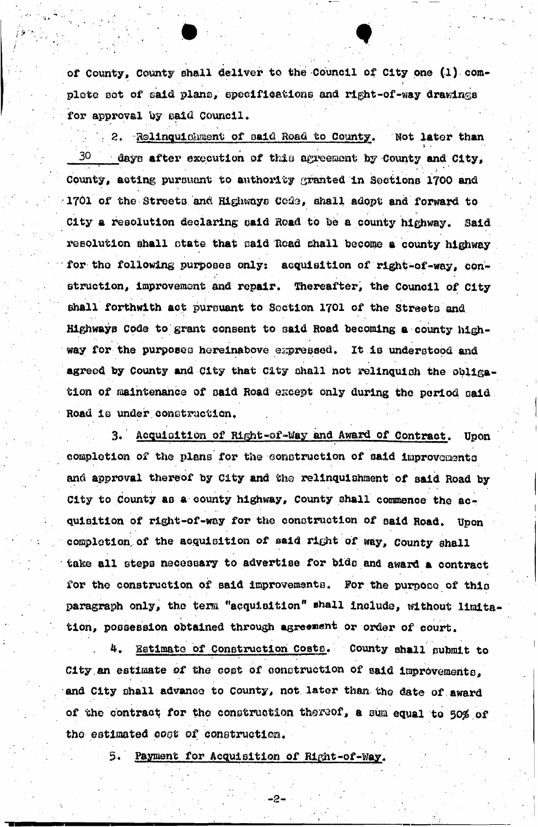of County, County shall deliver to the-Council of City one (1) complete sot of eaid plans, specifications and right-of-way drawings for approval by said Council.

2. Relinquishment of said Road to County. Not later than i .  $\mathbf{r} = \mathbf{r} \cdot \mathbf{r}$  $30$  days after execution of this agreement by County and City, County, acting pursuant to authority granted in Sections 1700 and 1701 of the Streets and Highways Code, shall adopt and forward to s, City a resolution declaring oald Road to Do a county highway\* Said resolution shall state that said Road shall become a county highway for the following purposes only: acquisition of right-of-way, construction, improvement and repair. Thereafter, the Council of City shall forthwith act pursuant to Section 1701 of the Streets and Highwayp code to grant consent to said Road becoming a county highway for the purposes hereinabove expressed. It is understood and agreed by County and City that City shall not relinquish the obligation of maintenance of said Road except only during the period said. Road is under construction,

3. Acquisition of Right-of-Way and Award of Contract. Upon completion of the plans for the construction of said improvements and approval thereof by city and *the* relinquishment of said Road by City to County as a county highway. County shall commence the acquisition of right-of-way for the construction of said Road. Upon completion, of the acquisition of said right of way, County shall take all steps necessary to advertise for bids and award a contract for the construction of said improvements. For the purpose of this paragraph only, the term "acquisition" shall include, without limitation, possession obtained through agreement or order of court.

4. Estimate of Construction Costs. County shall submit to City an estimate of the cost of construction of said improvements, and City shall advance to county, not later than the date of award of the contract for the construction thereof, a sum equal to 50% of the estimated cost of construction.

5» Payment for Acquisition of Right-of-way.

-2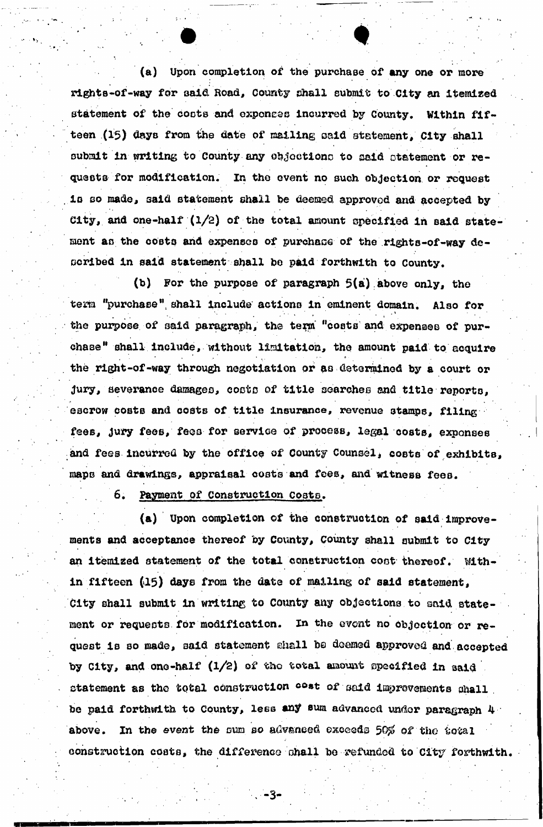(a) Upon completion of the purchase of any one or more rights-of-way for said Road, County shall submit to City an itemized statement of the costs and exponses incurred by County. Within fifteen (15) days from the date of mailing said statement, City shall submit in writing to County any objections to paid statement or requests for modification. In the event no such objection or request is so made, said statement shall be deemed approved and accepted by City, and one-half  $(1/2)$  of the total amount specified in said statement an the costs and expenses of purchase of the rights-of-way described in said statement shall be paid forthwith to County.

(b) For the purpose of paragraph 5(a) above only, the tern "purchase" shall include actions in eminent domain. Also for . . , . \* • •  $\bullet$  . For a set of the set of the set of the set of the set of the set of the set of the set of the set of the set of the set of the set of the set of the set of the set of the set of the set of the set of the set of the the purpose of said paragraph, the term "costs and expenses of purchase" shall include, without limitation, the amount paid to acquire the right-of-way through negotiation or fis determined by a court or Jury, severance damages, costs of title searches and title reports, escrow costs and costs of title **insurance,** revenue stamps, filing fees, jury fees, fees for service of process, legal costs, exponses and fees incurred by the office of County Counsel, costs of exhibits, maps and drawings, appraisal costs and fees, and witness fees.

6. Payment of Construction Costs.

(a) Upon completion of the construction of said improvements and acceptance thereof by County, County shall submit to City an **itemized** statement of the total construction coot thereof. Within fifteen (15) days from the date of mailing of said statement, City shall submit in writing to County any objections to aaid statement or requests for modification. In the event no objection or request is so made, said statement shall be deemed approved and-accepted by City, and one-half  $(1/2)$  of the total amount specified in said statement as the total construction  $\frac{1}{2}$  of said improvements shall be paid forthwith to County, less any sum advanced under paragraph 4 above. In the event the sum so advanced exceeds 50% of the total construction coats, the difference ohall be refunded to City forthwith.

-3.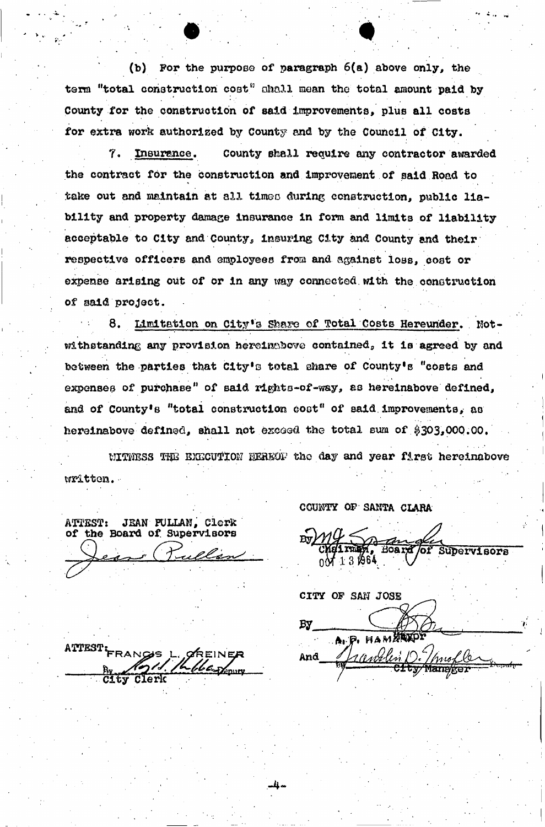(to) For the purpose of paragraph 6(a) above only, the term "total construction cost" shall mean the total amount paid by County for the construction of said improvements, plus all costs for extra work authorised by County and by the Council of City.

7. Insurance. County shall require any contractor awarded the contract fdr the construction and improvement of said Road to take out and maintain at all timed during construction, public liability and property damage insurance in form and limits of liability acceptable to City and County, insuring City and County and their respective officers and employees from and against loss, cost or expense arising out of or in any way connected.with the construction of said project.

8. Limitation on City's Share of Total Costs Hereunder. Notwithstanding any provision hereinabove contained, it is agreed by and between the parties that City's total share of County's "costs and expenses of purchase" of said rights-of-way, as hereinabove defined, and of County's "total construction coot" of said improvements, as hereinabove defined, shall not exceed the total sum of \$303,000.00.

WITNESS THE EXECUTION HEREOF the day and year first hereinabove written.- .

-4

ATTEST: JEAN FULLAN, Clerk of the Board of. Supervisors

COUNTY OP SANTA CLARA

Board Tof Supervisors <sub>በ</sub>ለ 13 /964

*CITY* OF SAN JOSE *w.*  A. P. HAM And

ATTESTL FRANGE L., GREINER Clerk City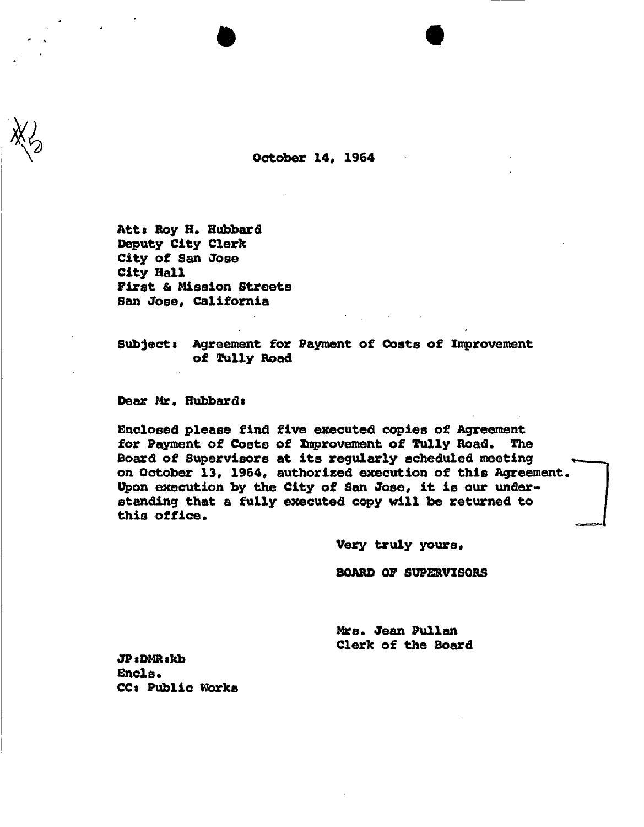**October 14, 1964** 

Att: Roy H. Hubbard **Deputy City Clerk City of San Jose City Hall First & Mission Streets San Jose, California** 

Subject: Agreement for Payment of Costs of Improvement **of Tully Road** 

**Dear Mr. Hubbardt** 

**Enclosed please find five executed copies of Agreement for Payment of Costs of Improvement of Tully Road. The Board of Supervisors at its regularly scheduled meeting on October 13, 1964, authorised execution of this Agreement. Upon execution by the City of San Jose, it is our understanding that a fully executed copy will be returned to this office.** 

**Very truly yours,** 

**BOARD OF SUPERVISORS** 

**Mr8. Jean Pullan Clerk of the Board** 

**JP**: DMR<sub>s</sub>kb Encls. **CC« Public Works**